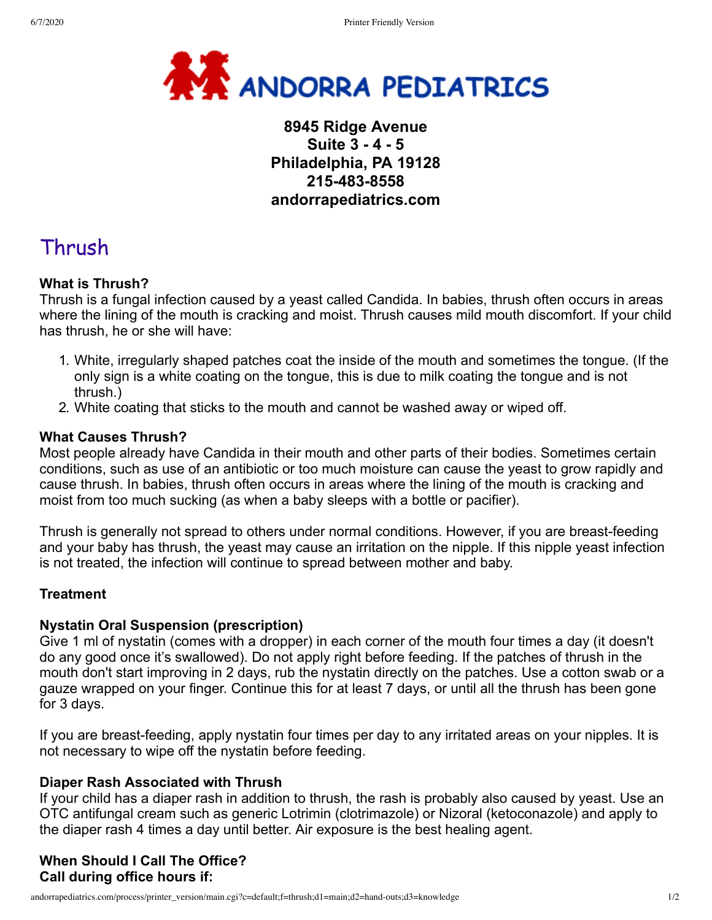

# **8945 Ridge Avenue Suite 3 - 4 - 5 Philadelphia, PA 19128 215-483-8558 andorrapediatrics.com**

# Thrush

## **What is Thrush?**

Thrush is a fungal infection caused by a yeast called Candida. In babies, thrush often occurs in areas where the lining of the mouth is cracking and moist. Thrush causes mild mouth discomfort. If your child has thrush, he or she will have:

- 1. White, irregularly shaped patches coat the inside of the mouth and sometimes the tongue. (If the only sign is a white coating on the tongue, this is due to milk coating the tongue and is not thrush.)
- 2. White coating that sticks to the mouth and cannot be washed away or wiped off.

#### **What Causes Thrush?**

Most people already have Candida in their mouth and other parts of their bodies. Sometimes certain conditions, such as use of an antibiotic or too much moisture can cause the yeast to grow rapidly and cause thrush. In babies, thrush often occurs in areas where the lining of the mouth is cracking and moist from too much sucking (as when a baby sleeps with a bottle or pacifier).

Thrush is generally not spread to others under normal conditions. However, if you are breast-feeding and your baby has thrush, the yeast may cause an irritation on the nipple. If this nipple yeast infection is not treated, the infection will continue to spread between mother and baby.

## **Treatment**

#### **Nystatin Oral Suspension (prescription)**

Give 1 ml of nystatin (comes with a dropper) in each corner of the mouth four times a day (it doesn't do any good once it's swallowed). Do not apply right before feeding. If the patches of thrush in the mouth don't start improving in 2 days, rub the nystatin directly on the patches. Use a cotton swab or a gauze wrapped on your finger. Continue this for at least 7 days, or until all the thrush has been gone for 3 days.

If you are breast-feeding, apply nystatin four times per day to any irritated areas on your nipples. It is not necessary to wipe off the nystatin before feeding.

## **Diaper Rash Associated with Thrush**

If your child has a diaper rash in addition to thrush, the rash is probably also caused by yeast. Use an OTC antifungal cream such as generic Lotrimin (clotrimazole) or Nizoral (ketoconazole) and apply to the diaper rash 4 times a day until better. Air exposure is the best healing agent.

## **When Should I Call The Office? Call during office hours if:**